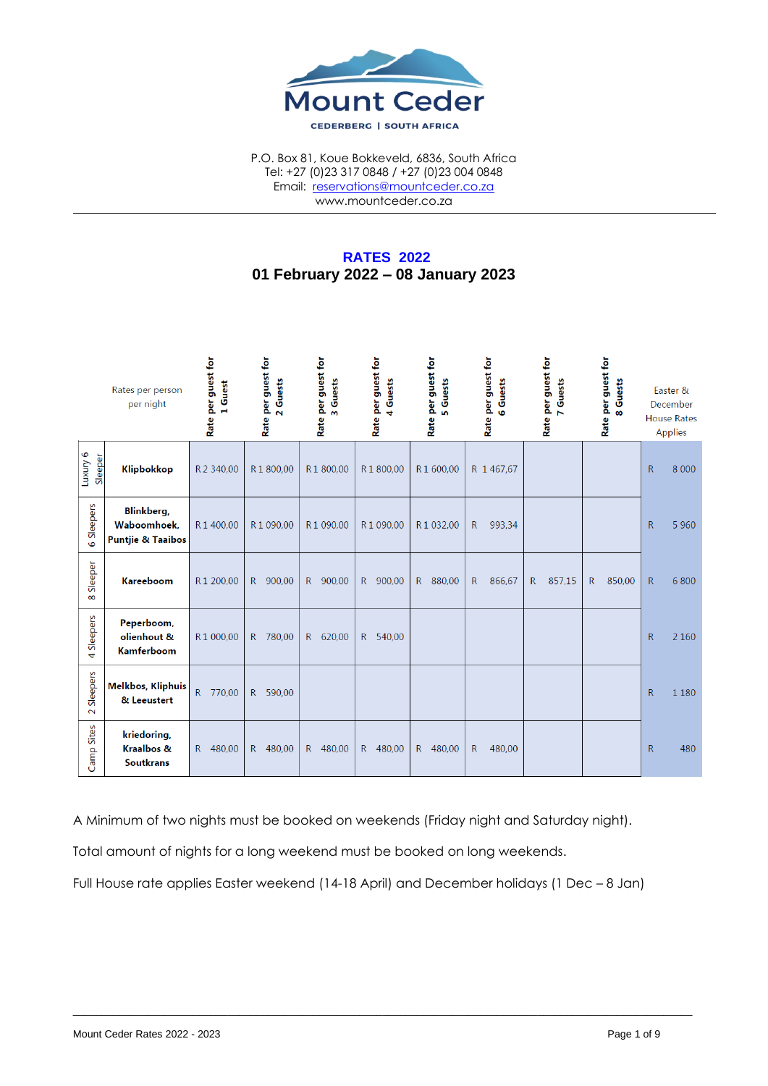

P.O. Box 81, Koue Bokkeveld, 6836, South Africa Tel: +27 (0)23 317 0848 / +27 (0)23 004 0848 Email: [reservations@mountceder.co.za](mailto:reservations@mountceder.co.za) www.mountceder.co.za

# **RATES 2022 01 February 2022 – 08 January 2023**

|                            | Rates per person<br>per night                                     | Rate per guest for<br>Guest | Rate per guest for<br>2 Guests | Rate per guest for<br>Guests<br>$\mathsf{m}$ | Rate per guest for<br>Guests<br>$\ddot{\phantom{0}}$ | Rate per guest for<br>Guests<br>in. | Rate per guest for<br>Guests<br><b>G</b> | Rate per guest for<br>Guests<br>$\blacksquare$ | Rate per guest for<br>Guests<br>$\infty$ |              | Easter &<br>December<br><b>House Rates</b><br>Applies |
|----------------------------|-------------------------------------------------------------------|-----------------------------|--------------------------------|----------------------------------------------|------------------------------------------------------|-------------------------------------|------------------------------------------|------------------------------------------------|------------------------------------------|--------------|-------------------------------------------------------|
| Luxuy 6<br>Sleeper         | <b>Klipbokkop</b>                                                 | R 2 340,00                  | R1800,00                       | R1800,00                                     | R1800,00                                             | R1600,00                            | R 1 467,67                               |                                                |                                          | R.           | 8 0 0 0                                               |
| Sleepers<br>6              | <b>Blinkberg</b> ,<br>Waboomhoek.<br><b>Puntjie &amp; Taaibos</b> | R1400.00                    | R 1 090,00                     | R1 090.00                                    | R 1 090,00                                           | R1032,00                            | $\mathsf{R}$<br>993,34                   |                                                |                                          | $\mathsf{R}$ | 5 9 6 0                                               |
| Sleeper<br>$\infty$        | <b>Kareeboom</b>                                                  | R1 200,00                   | $\mathsf{R}$<br>900,00         | R<br>900,00                                  | R 900,00                                             | 880,00<br>$R_{\perp}$               | $\mathsf{R}$<br>866,67                   | 857,15<br>$\mathsf{R}$                         | $\mathsf{R}$<br>850,00                   | $\mathsf{R}$ | 6 800                                                 |
| Sleepers<br>4              | Peperboom,<br>olienhout &<br><b>Kamferboom</b>                    | R1 000,00                   | 780,00<br>R                    | 620,00<br>R                                  | R 540,00                                             |                                     |                                          |                                                |                                          | $\mathsf{R}$ | 2 1 6 0                                               |
| Sleepers<br>$\sim$         | <b>Melkbos, Kliphuis</b><br>& Leeustert                           | R 770,00                    | 590,00<br>$\mathsf{R}$         |                                              |                                                      |                                     |                                          |                                                |                                          | R            | 1 1 8 0                                               |
| Sites<br>Camp <sup>-</sup> | kriedoring,<br><b>Kraalbos &amp;</b><br><b>Soutkrans</b>          | 480,00<br>$\mathsf{R}$      | 480,00<br>R                    | 480,00<br>R.                                 | 480,00<br>R                                          | 480,00<br>$\mathsf{R}$              | 480,00<br>R                              |                                                |                                          | $\mathsf{R}$ | 480                                                   |

A Minimum of two nights must be booked on weekends (Friday night and Saturday night).

Total amount of nights for a long weekend must be booked on long weekends.

Full House rate applies Easter weekend (14-18 April) and December holidays (1 Dec – 8 Jan)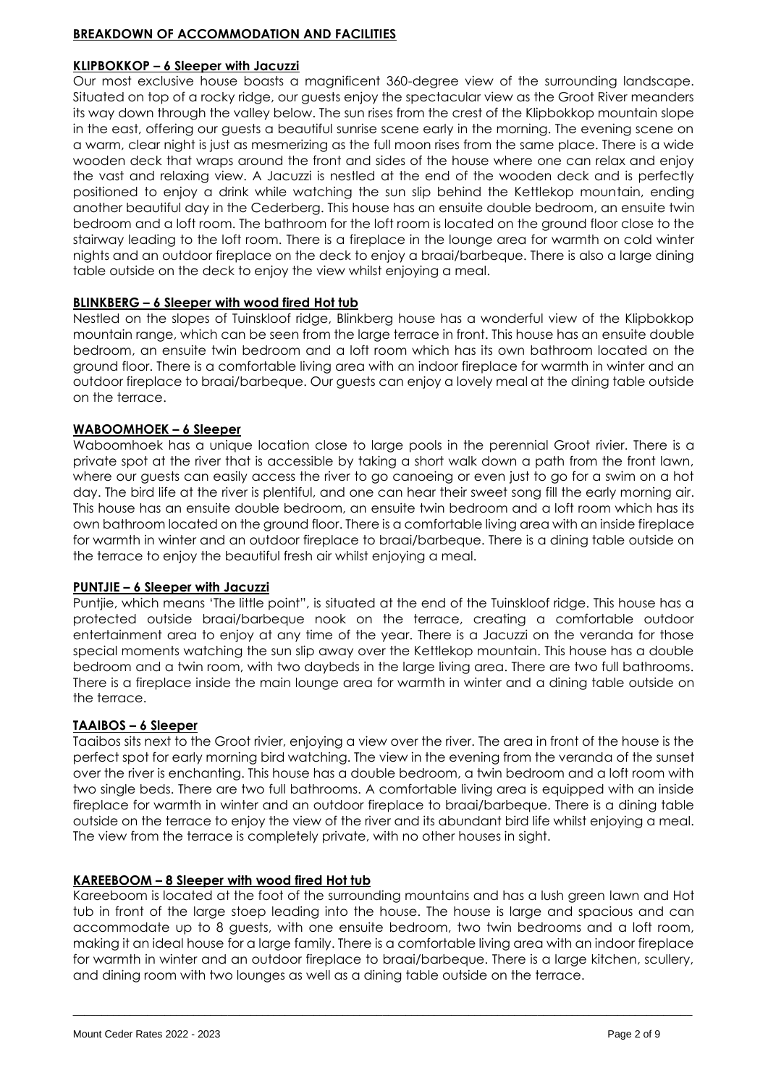### **BREAKDOWN OF ACCOMMODATION AND FACILITIES**

#### **KLIPBOKKOP – 6 Sleeper with Jacuzzi**

Our most exclusive house boasts a magnificent 360-degree view of the surrounding landscape. Situated on top of a rocky ridge, our guests enjoy the spectacular view as the Groot River meanders its way down through the valley below. The sun rises from the crest of the Klipbokkop mountain slope in the east, offering our guests a beautiful sunrise scene early in the morning. The evening scene on a warm, clear night is just as mesmerizing as the full moon rises from the same place. There is a wide wooden deck that wraps around the front and sides of the house where one can relax and enjoy the vast and relaxing view. A Jacuzzi is nestled at the end of the wooden deck and is perfectly positioned to enjoy a drink while watching the sun slip behind the Kettlekop mountain, ending another beautiful day in the Cederberg. This house has an ensuite double bedroom, an ensuite twin bedroom and a loft room. The bathroom for the loft room is located on the ground floor close to the stairway leading to the loft room. There is a fireplace in the lounge area for warmth on cold winter nights and an outdoor fireplace on the deck to enjoy a braai/barbeque. There is also a large dining table outside on the deck to enjoy the view whilst enjoying a meal.

## **BLINKBERG – 6 Sleeper with wood fired Hot tub**

Nestled on the slopes of Tuinskloof ridge, Blinkberg house has a wonderful view of the Klipbokkop mountain range, which can be seen from the large terrace in front. This house has an ensuite double bedroom, an ensuite twin bedroom and a loft room which has its own bathroom located on the ground floor. There is a comfortable living area with an indoor fireplace for warmth in winter and an outdoor fireplace to braai/barbeque. Our guests can enjoy a lovely meal at the dining table outside on the terrace.

## **WABOOMHOEK – 6 Sleeper**

Waboomhoek has a unique location close to large pools in the perennial Groot rivier. There is a private spot at the river that is accessible by taking a short walk down a path from the front lawn, where our guests can easily access the river to go canoeing or even just to go for a swim on a hot day. The bird life at the river is plentiful, and one can hear their sweet song fill the early morning air. This house has an ensuite double bedroom, an ensuite twin bedroom and a loft room which has its own bathroom located on the ground floor. There is a comfortable living area with an inside fireplace for warmth in winter and an outdoor fireplace to braai/barbeque. There is a dining table outside on the terrace to enjoy the beautiful fresh air whilst enjoying a meal.

#### **PUNTJIE – 6 Sleeper with Jacuzzi**

Puntjie, which means 'The little point", is situated at the end of the Tuinskloof ridge. This house has a protected outside braai/barbeque nook on the terrace, creating a comfortable outdoor entertainment area to enjoy at any time of the year. There is a Jacuzzi on the veranda for those special moments watching the sun slip away over the Kettlekop mountain. This house has a double bedroom and a twin room, with two daybeds in the large living area. There are two full bathrooms. There is a fireplace inside the main lounge area for warmth in winter and a dining table outside on the terrace.

#### **TAAIBOS – 6 Sleeper**

Taaibos sits next to the Groot rivier, enjoying a view over the river. The area in front of the house is the perfect spot for early morning bird watching. The view in the evening from the veranda of the sunset over the river is enchanting. This house has a double bedroom, a twin bedroom and a loft room with two single beds. There are two full bathrooms. A comfortable living area is equipped with an inside fireplace for warmth in winter and an outdoor fireplace to braai/barbeque. There is a dining table outside on the terrace to enjoy the view of the river and its abundant bird life whilst enjoying a meal. The view from the terrace is completely private, with no other houses in sight.

#### **KAREEBOOM – 8 Sleeper with wood fired Hot tub**

Kareeboom is located at the foot of the surrounding mountains and has a lush green lawn and Hot tub in front of the large stoep leading into the house. The house is large and spacious and can accommodate up to 8 guests, with one ensuite bedroom, two twin bedrooms and a loft room, making it an ideal house for a large family. There is a comfortable living area with an indoor fireplace for warmth in winter and an outdoor fireplace to braai/barbeque. There is a large kitchen, scullery, and dining room with two lounges as well as a dining table outside on the terrace.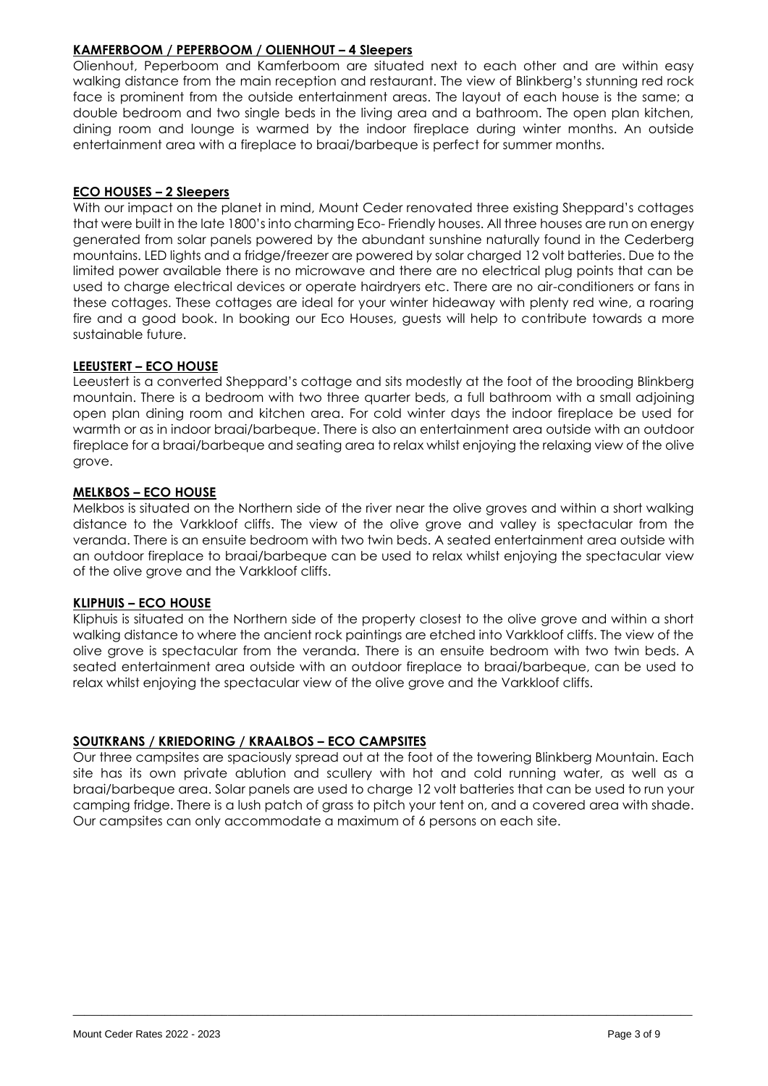## **KAMFERBOOM / PEPERBOOM / OLIENHOUT – 4 Sleepers**

Olienhout, Peperboom and Kamferboom are situated next to each other and are within easy walking distance from the main reception and restaurant. The view of Blinkberg's stunning red rock face is prominent from the outside entertainment areas. The layout of each house is the same; a double bedroom and two single beds in the living area and a bathroom. The open plan kitchen, dining room and lounge is warmed by the indoor fireplace during winter months. An outside entertainment area with a fireplace to braai/barbeque is perfect for summer months.

## **ECO HOUSES – 2 Sleepers**

With our impact on the planet in mind, Mount Ceder renovated three existing Sheppard's cottages that were built in the late 1800's into charming Eco- Friendly houses. All three houses are run on energy generated from solar panels powered by the abundant sunshine naturally found in the Cederberg mountains. LED lights and a fridge/freezer are powered by solar charged 12 volt batteries. Due to the limited power available there is no microwave and there are no electrical plug points that can be used to charge electrical devices or operate hairdryers etc. There are no air-conditioners or fans in these cottages. These cottages are ideal for your winter hideaway with plenty red wine, a roaring fire and a good book. In booking our Eco Houses, guests will help to contribute towards a more sustainable future.

## **LEEUSTERT – ECO HOUSE**

Leeustert is a converted Sheppard's cottage and sits modestly at the foot of the brooding Blinkberg mountain. There is a bedroom with two three quarter beds, a full bathroom with a small adjoining open plan dining room and kitchen area. For cold winter days the indoor fireplace be used for warmth or as in indoor braai/barbeque. There is also an entertainment area outside with an outdoor fireplace for a braai/barbeque and seating area to relax whilst enjoying the relaxing view of the olive grove.

## **MELKBOS – ECO HOUSE**

Melkbos is situated on the Northern side of the river near the olive groves and within a short walking distance to the Varkkloof cliffs. The view of the olive grove and valley is spectacular from the veranda. There is an ensuite bedroom with two twin beds. A seated entertainment area outside with an outdoor fireplace to braai/barbeque can be used to relax whilst enjoying the spectacular view of the olive grove and the Varkkloof cliffs.

#### **KLIPHUIS – ECO HOUSE**

Kliphuis is situated on the Northern side of the property closest to the olive grove and within a short walking distance to where the ancient rock paintings are etched into Varkkloof cliffs. The view of the olive grove is spectacular from the veranda. There is an ensuite bedroom with two twin beds. A seated entertainment area outside with an outdoor fireplace to braai/barbeque, can be used to relax whilst enjoying the spectacular view of the olive grove and the Varkkloof cliffs.

## **SOUTKRANS / KRIEDORING / KRAALBOS – ECO CAMPSITES**

Our three campsites are spaciously spread out at the foot of the towering Blinkberg Mountain. Each site has its own private ablution and scullery with hot and cold running water, as well as a braai/barbeque area. Solar panels are used to charge 12 volt batteries that can be used to run your camping fridge. There is a lush patch of grass to pitch your tent on, and a covered area with shade. Our campsites can only accommodate a maximum of 6 persons on each site.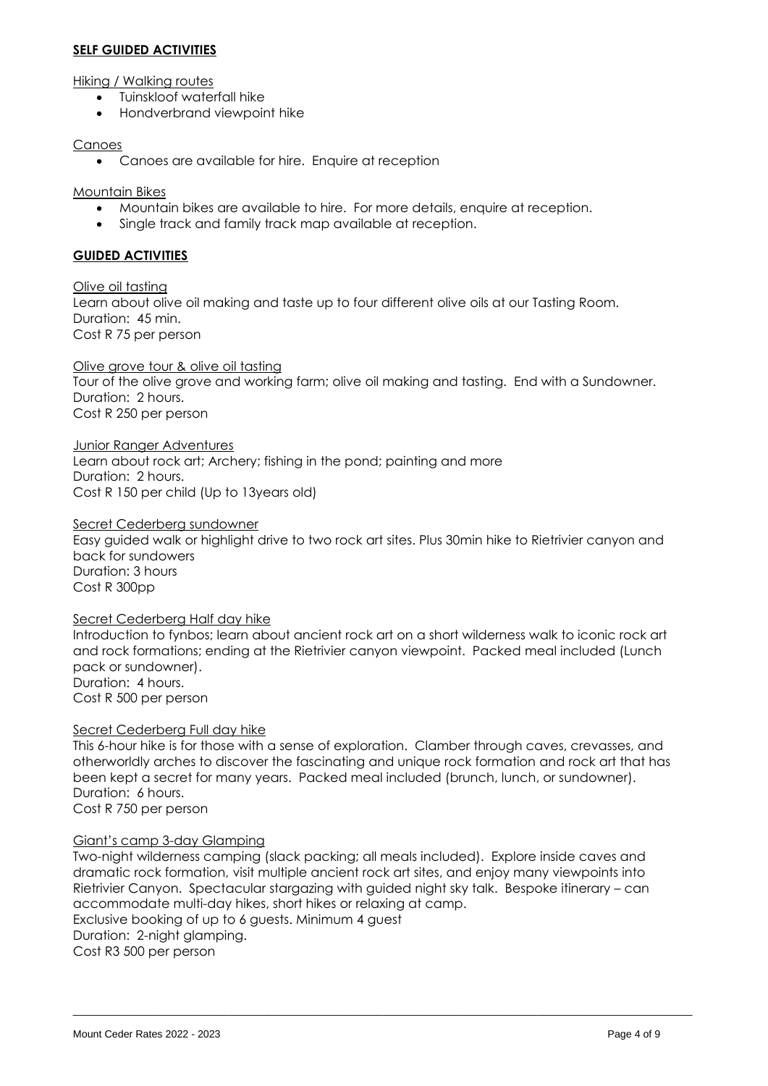#### **SELF GUIDED ACTIVITIES**

Hiking / Walking routes

- Tuinskloof waterfall hike
- Hondverbrand viewpoint hike

#### Canoes

• Canoes are available for hire. Enquire at reception

Mountain Bikes

- Mountain bikes are available to hire. For more details, enquire at reception.
- Single track and family track map available at reception.

### **GUIDED ACTIVITIES**

Olive oil tasting Learn about olive oil making and taste up to four different olive oils at our Tasting Room. Duration: 45 min. Cost R 75 per person

Olive grove tour & olive oil tasting Tour of the olive grove and working farm; olive oil making and tasting. End with a Sundowner. Duration: 2 hours. Cost R 250 per person

Junior Ranger Adventures Learn about rock art; Archery; fishing in the pond; painting and more Duration: 2 hours. Cost R 150 per child (Up to 13years old)

Secret Cederberg sundowner Easy guided walk or highlight drive to two rock art sites. Plus 30min hike to Rietrivier canyon and back for sundowers Duration: 3 hours Cost R 300pp

Secret Cederberg Half day hike

Introduction to fynbos; learn about ancient rock art on a short wilderness walk to iconic rock art and rock formations; ending at the Rietrivier canyon viewpoint. Packed meal included (Lunch pack or sundowner). Duration: 4 hours.

Cost R 500 per person

#### Secret Cederberg Full day hike

This 6-hour hike is for those with a sense of exploration. Clamber through caves, crevasses, and otherworldly arches to discover the fascinating and unique rock formation and rock art that has been kept a secret for many years. Packed meal included (brunch, lunch, or sundowner). Duration: 6 hours. Cost R 750 per person

#### Giant's camp 3-day Glamping

Two-night wilderness camping (slack packing; all meals included). Explore inside caves and dramatic rock formation, visit multiple ancient rock art sites, and enjoy many viewpoints into Rietrivier Canyon. Spectacular stargazing with guided night sky talk. Bespoke itinerary – can accommodate multi-day hikes, short hikes or relaxing at camp. Exclusive booking of up to 6 guests. Minimum 4 guest Duration: 2-night glamping. Cost R3 500 per person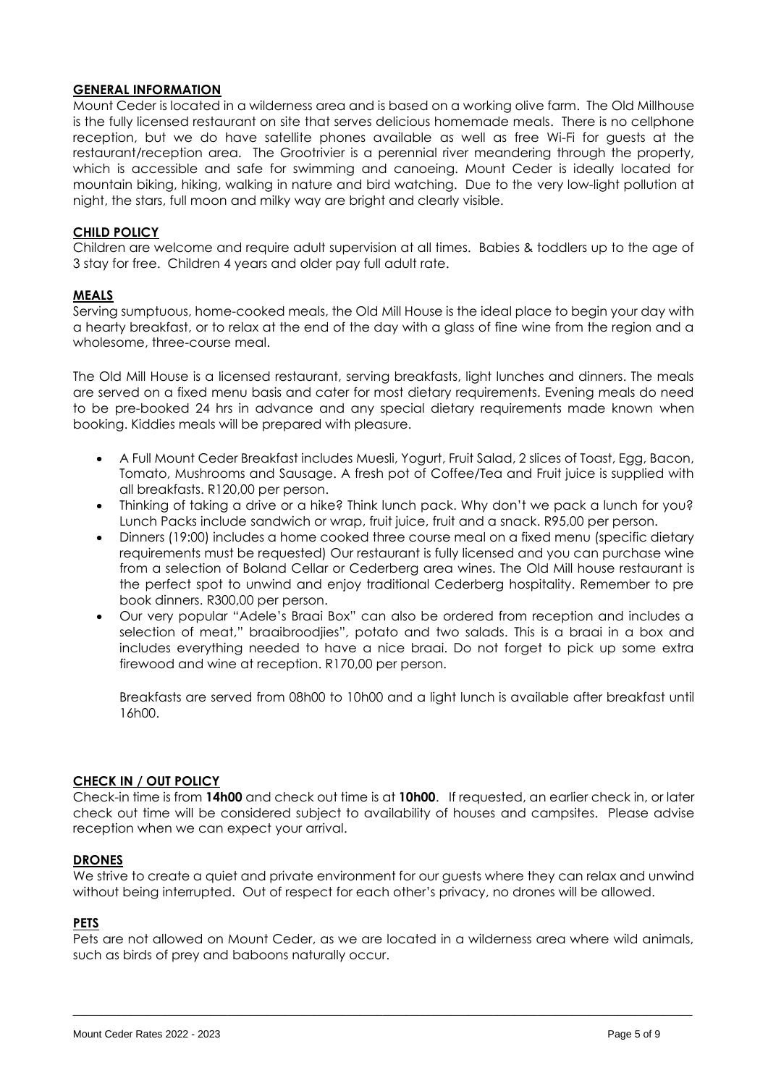### **GENERAL INFORMATION**

Mount Ceder is located in a wilderness area and is based on a working olive farm. The Old Millhouse is the fully licensed restaurant on site that serves delicious homemade meals. There is no cellphone reception, but we do have satellite phones available as well as free Wi-Fi for guests at the restaurant/reception area. The Grootrivier is a perennial river meandering through the property, which is accessible and safe for swimming and canoeing. Mount Ceder is ideally located for mountain biking, hiking, walking in nature and bird watching. Due to the very low-light pollution at night, the stars, full moon and milky way are bright and clearly visible.

### **CHILD POLICY**

Children are welcome and require adult supervision at all times. Babies & toddlers up to the age of 3 stay for free. Children 4 years and older pay full adult rate.

#### **MEALS**

Serving sumptuous, home-cooked meals, the Old Mill House is the ideal place to begin your day with a hearty breakfast, or to relax at the end of the day with a glass of fine wine from the region and a wholesome, three-course meal.

The Old Mill House is a licensed restaurant, serving breakfasts, light lunches and dinners. The meals are served on a fixed menu basis and cater for most dietary requirements. Evening meals do need to be pre-booked 24 hrs in advance and any special dietary requirements made known when booking. Kiddies meals will be prepared with pleasure.

- A Full Mount Ceder Breakfast includes Muesli, Yogurt, Fruit Salad, 2 slices of Toast, Egg, Bacon, Tomato, Mushrooms and Sausage. A fresh pot of Coffee/Tea and Fruit juice is supplied with all breakfasts. R120,00 per person.
- Thinking of taking a drive or a hike? Think lunch pack. Why don't we pack a lunch for you? Lunch Packs include sandwich or wrap, fruit juice, fruit and a snack. R95,00 per person.
- Dinners (19:00) includes a home cooked three course meal on a fixed menu (specific dietary requirements must be requested) Our restaurant is fully licensed and you can purchase wine from a selection of Boland Cellar or Cederberg area wines. The Old Mill house restaurant is the perfect spot to unwind and enjoy traditional Cederberg hospitality. Remember to pre book dinners. R300,00 per person.
- Our very popular "Adele's Braai Box" can also be ordered from reception and includes a selection of meat," braaibroodjies", potato and two salads. This is a braai in a box and includes everything needed to have a nice braai. Do not forget to pick up some extra firewood and wine at reception. R170,00 per person.

Breakfasts are served from 08h00 to 10h00 and a light lunch is available after breakfast until 16h00.

#### **CHECK IN / OUT POLICY**

Check-in time is from **14h00** and check out time is at **10h00**. If requested, an earlier check in, or later check out time will be considered subject to availability of houses and campsites. Please advise reception when we can expect your arrival.

#### **DRONES**

We strive to create a quiet and private environment for our guests where they can relax and unwind without being interrupted. Out of respect for each other's privacy, no drones will be allowed.

#### **PETS**

Pets are not allowed on Mount Ceder, as we are located in a wilderness area where wild animals, such as birds of prey and baboons naturally occur.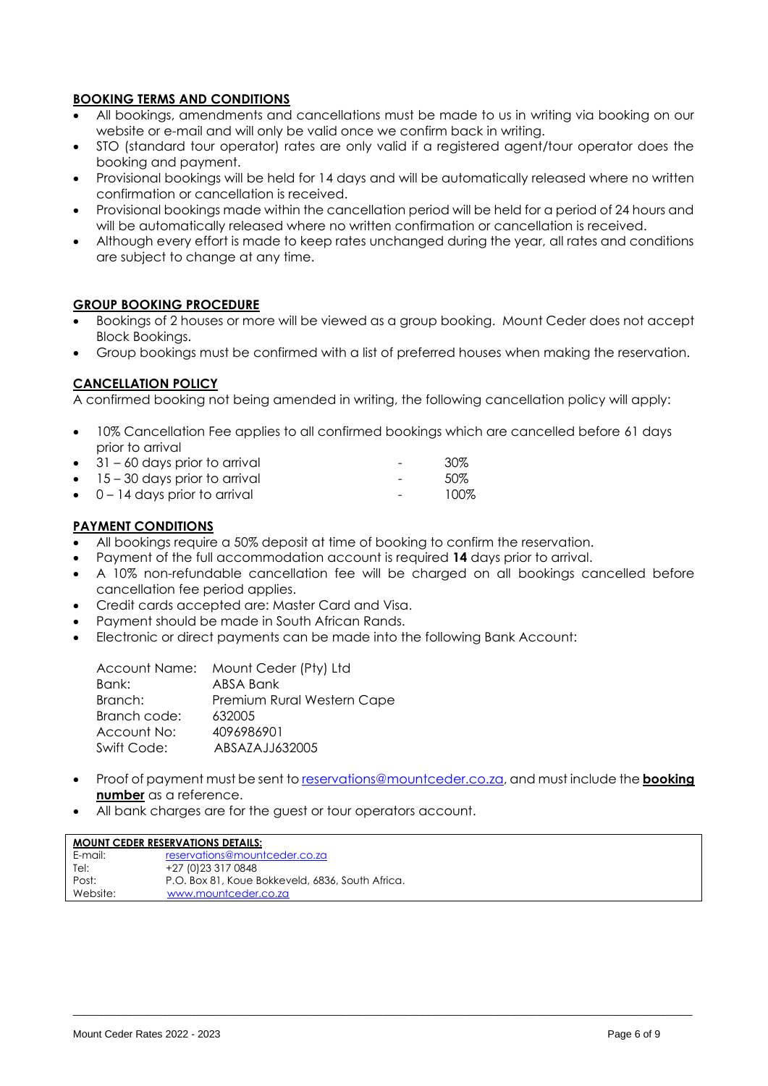## **BOOKING TERMS AND CONDITIONS**

- All bookings, amendments and cancellations must be made to us in writing via booking on our website or e-mail and will only be valid once we confirm back in writing.
- STO (standard tour operator) rates are only valid if a registered agent/tour operator does the booking and payment.
- Provisional bookings will be held for 14 days and will be automatically released where no written confirmation or cancellation is received.
- Provisional bookings made within the cancellation period will be held for a period of 24 hours and will be automatically released where no written confirmation or cancellation is received.
- Although every effort is made to keep rates unchanged during the year, all rates and conditions are subject to change at any time.

#### **GROUP BOOKING PROCEDURE**

- Bookings of 2 houses or more will be viewed as a group booking. Mount Ceder does not accept Block Bookings.
- Group bookings must be confirmed with a list of preferred houses when making the reservation.

#### **CANCELLATION POLICY**

A confirmed booking not being amended in writing, the following cancellation policy will apply:

- 10% Cancellation Fee applies to all confirmed bookings which are cancelled before 61 days prior to arrival
- 31 60 days prior to arrival 30%
- extending 15 30 days prior to arrival the set of the set of the set of the set of the set of the set of the set of the set of the set of the set of the set of the set of the set of the set of the set of the set of the se
- 0 14 days prior to arrival **Fig. 100%**

#### **PAYMENT CONDITIONS**

- All bookings require a 50% deposit at time of booking to confirm the reservation.
- Payment of the full accommodation account is required **14** days prior to arrival.
- A 10% non-refundable cancellation fee will be charged on all bookings cancelled before cancellation fee period applies.
- Credit cards accepted are: Master Card and Visa.
- Payment should be made in South African Rands.
- Electronic or direct payments can be made into the following Bank Account:

| Account Name: Mount Ceder (Pty) Ltd |
|-------------------------------------|
| ABSA Bank                           |
| Premium Rural Western Cape          |
| 632005                              |
| 4096986901                          |
| ABSAZAJJ632005                      |
|                                     |

• Proof of payment must be sent t[o reservations@mountceder.co.za,](mailto:reservations@mountceder.co.za) and must include the **booking number** as a reference.

\_\_\_\_\_\_\_\_\_\_\_\_\_\_\_\_\_\_\_\_\_\_\_\_\_\_\_\_\_\_\_\_\_\_\_\_\_\_\_\_\_\_\_\_\_\_\_\_\_\_\_\_\_\_\_\_\_\_\_\_\_\_\_\_\_\_\_\_\_\_\_\_\_\_\_\_\_\_\_\_\_\_\_\_\_\_\_\_\_\_\_\_\_\_\_\_\_\_\_\_\_\_\_\_\_\_\_\_

• All bank charges are for the guest or tour operators account.

| <b>MOUNT CEDER RESERVATIONS DETAILS:</b> |                                                  |  |  |  |  |  |  |
|------------------------------------------|--------------------------------------------------|--|--|--|--|--|--|
| E-mail:                                  | reservations@mountceder.co.za                    |  |  |  |  |  |  |
| Tel:                                     | +27 (0) 23 317 0848                              |  |  |  |  |  |  |
| Post:                                    | P.O. Box 81, Koue Bokkeveld, 6836, South Africa. |  |  |  |  |  |  |
| Website:                                 | www.mountceder.co.za                             |  |  |  |  |  |  |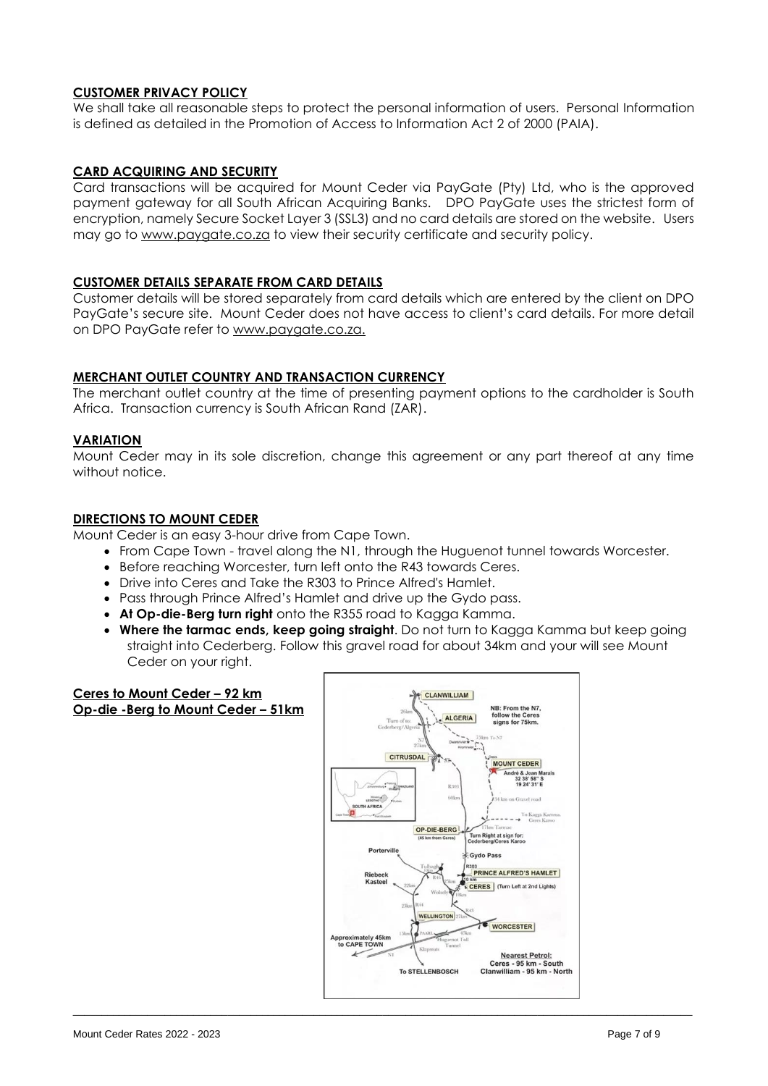## **CUSTOMER PRIVACY POLICY**

We shall take all reasonable steps to protect the personal information of users. Personal Information is defined as detailed in the Promotion of Access to Information Act 2 of 2000 (PAIA).

#### **CARD ACQUIRING AND SECURITY**

Card transactions will be acquired for Mount Ceder via PayGate (Pty) Ltd, who is the approved payment gateway for all South African Acquiring Banks. DPO PayGate uses the strictest form of encryption, namely Secure Socket Layer 3 (SSL3) and no card details are stored on the website. Users may go to [www.paygate.co.za](http://www.paygate.co.za/) to view their security certificate and security policy.

#### **CUSTOMER DETAILS SEPARATE FROM CARD DETAILS**

Customer details will be stored separately from card details which are entered by the client on DPO PayGate's secure site. Mount Ceder does not have access to client's card details. For more detail on DPO PayGate refer to [www.paygate.co.za.](http://www.paygate.co.za/)

#### **MERCHANT OUTLET COUNTRY AND TRANSACTION CURRENCY**

The merchant outlet country at the time of presenting payment options to the cardholder is South Africa. Transaction currency is South African Rand (ZAR).

#### **VARIATION**

Mount Ceder may in its sole discretion, change this agreement or any part thereof at any time without notice.

#### **DIRECTIONS TO MOUNT CEDER**

Mount Ceder is an easy 3-hour drive from Cape Town.

- From Cape Town travel along the N1, through the Huguenot tunnel towards Worcester.
- Before reaching Worcester, turn left onto the R43 towards Ceres.
- Drive into Ceres and Take the R303 to Prince Alfred's Hamlet.
- Pass through Prince Alfred's Hamlet and drive up the Gydo pass.
- **At Op-die-Berg turn right** onto the R355 road to Kagga Kamma.
- **Where the tarmac ends, keep going straight**. Do not turn to Kagga Kamma but keep going straight into Cederberg. Follow this gravel road for about 34km and your will see Mount Ceder on your right.

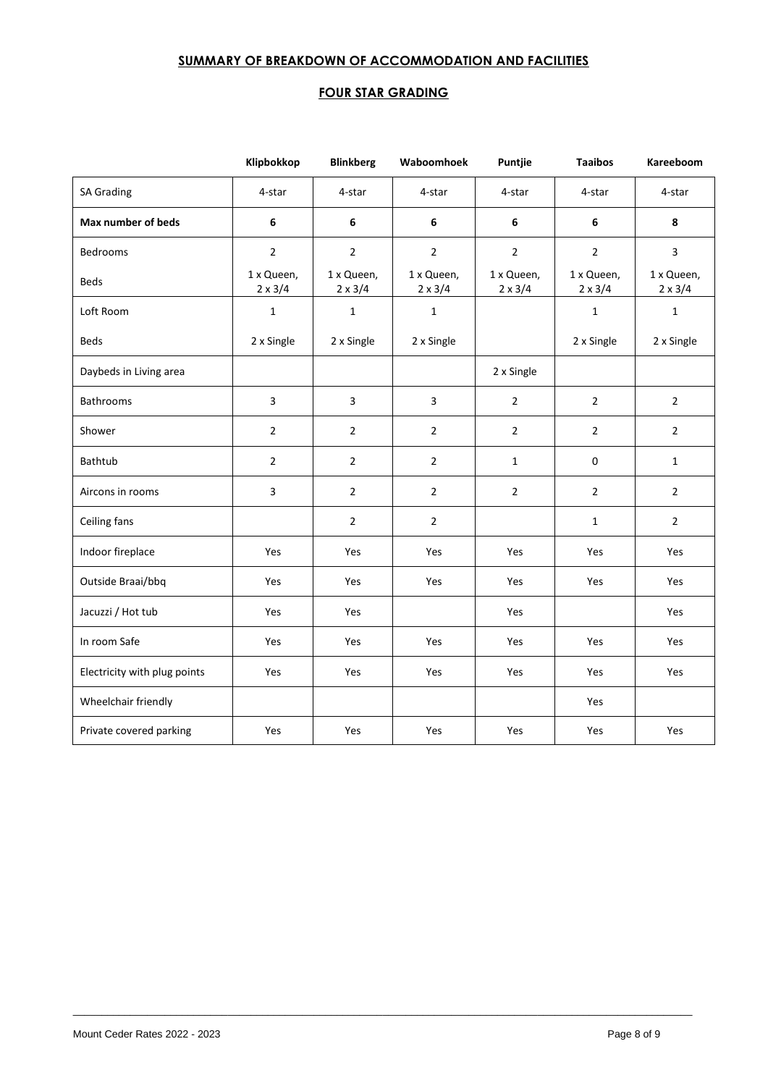## **SUMMARY OF BREAKDOWN OF ACCOMMODATION AND FACILITIES**

## **FOUR STAR GRADING**

|                              | Klipbokkop                   | <b>Blinkberg</b>             | Waboomhoek                   | Puntjie                      | <b>Taaibos</b>               | Kareeboom                    |
|------------------------------|------------------------------|------------------------------|------------------------------|------------------------------|------------------------------|------------------------------|
| <b>SA Grading</b>            | 4-star                       | 4-star                       | 4-star                       | 4-star                       | 4-star                       | 4-star                       |
| Max number of beds           | 6                            | 6                            | 6                            | 6                            | 6                            | 8                            |
| <b>Bedrooms</b>              | $\overline{2}$               | $\overline{2}$               | $\overline{2}$               | $\overline{2}$               | $\overline{2}$               | 3                            |
| <b>Beds</b>                  | 1 x Queen,<br>$2 \times 3/4$ | 1 x Queen,<br>$2 \times 3/4$ | 1 x Queen,<br>$2 \times 3/4$ | 1 x Queen,<br>$2 \times 3/4$ | 1 x Queen,<br>$2 \times 3/4$ | 1 x Queen,<br>$2 \times 3/4$ |
| Loft Room                    | $\mathbf 1$                  | $\mathbf{1}$                 | $\mathbf 1$                  |                              | $\mathbf{1}$                 | $\mathbf{1}$                 |
| Beds                         | 2 x Single                   | 2 x Single                   | 2 x Single                   |                              | 2 x Single                   | 2 x Single                   |
| Daybeds in Living area       |                              |                              |                              | 2 x Single                   |                              |                              |
| Bathrooms                    | 3                            | 3                            | $\overline{\mathbf{3}}$      | $\overline{2}$               | $\overline{2}$               | $\overline{2}$               |
| Shower                       | $\overline{2}$               | $\overline{2}$               | $\overline{2}$               | $\overline{2}$               | $\overline{2}$               | $\overline{2}$               |
| Bathtub                      | $\overline{2}$               | $\overline{2}$               | $\overline{2}$               | $\mathbf{1}$                 | 0                            | $\mathbf{1}$                 |
| Aircons in rooms             | 3                            | $\overline{2}$               | $\overline{2}$               | $\overline{2}$               | $\overline{2}$               | $\overline{2}$               |
| Ceiling fans                 |                              | $\overline{2}$               | $\overline{2}$               |                              | $\mathbf{1}$                 | $\overline{2}$               |
| Indoor fireplace             | Yes                          | Yes                          | Yes                          | Yes                          | Yes                          | Yes                          |
| Outside Braai/bbq            | Yes                          | Yes                          | Yes                          | Yes                          | Yes                          | Yes                          |
| Jacuzzi / Hot tub            | Yes                          | Yes                          |                              | Yes                          |                              | Yes                          |
| In room Safe                 | Yes                          | Yes                          | Yes                          | Yes                          | Yes                          | Yes                          |
| Electricity with plug points | Yes                          | Yes                          | Yes                          | Yes                          | Yes                          | Yes                          |
| Wheelchair friendly          |                              |                              |                              |                              | Yes                          |                              |
| Private covered parking      | Yes                          | Yes                          | Yes                          | Yes                          | Yes                          | Yes                          |